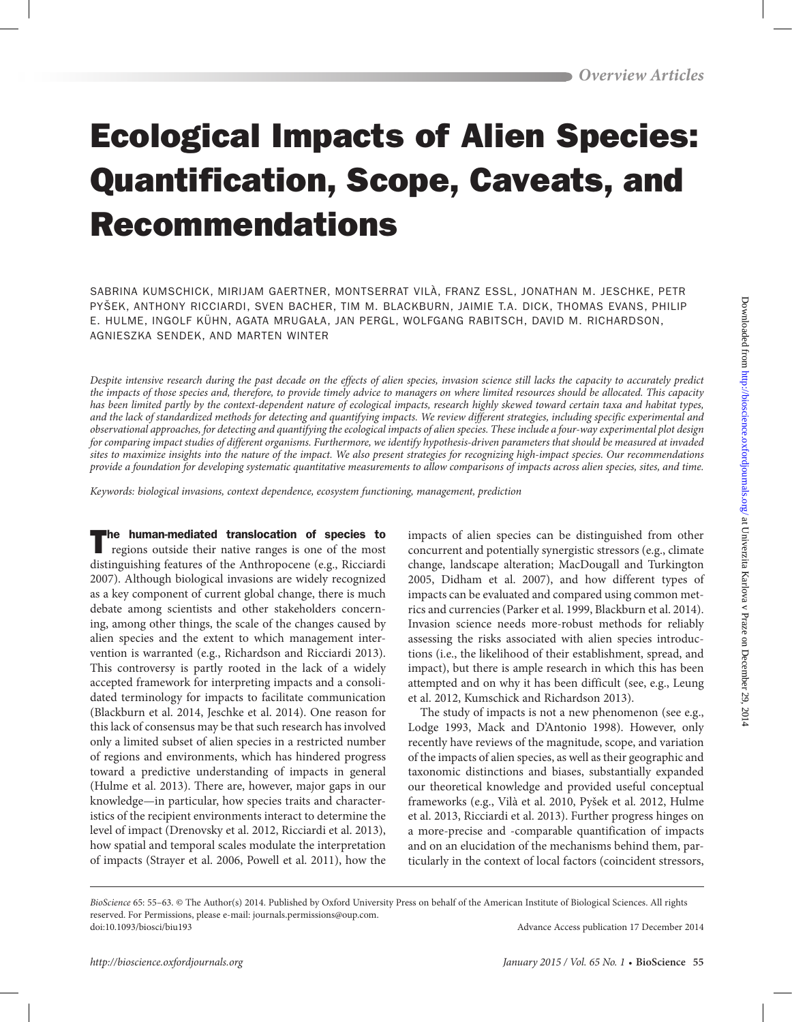# Ecological Impacts of Alien Species: Quantification, Scope, Caveats, and Recommendations

SABRINA KUMSCHICK, MIRIJAM GAERTNER, MONTSERRAT VILÀ, FRANZ ESSL, JONATHAN M. JESCHKE, PETR PYŠEK, ANTHONY RICCIARDI, SVEN BACHER, TIM M. BLACKBURN, JAIMIE T.A. DICK, THOMAS EVANS, PHILIP E. HULME, INGOLF KÜHN, AGATA MRUGAŁA, JAN PERGL, WOLFGANG RABITSCH, DAVID M. RICHARDSON, AGNIESZKA SENDEK, AND MARTEN WINTER

*Despite intensive research during the past decade on the effects of alien species, invasion science still lacks the capacity to accurately predict the impacts of those species and, therefore, to provide timely advice to managers on where limited resources should be allocated. This capacity has been limited partly by the context-dependent nature of ecological impacts, research highly skewed toward certain taxa and habitat types, and the lack of standardized methods for detecting and quantifying impacts. We review different strategies, including specific experimental and observational approaches, for detecting and quantifying the ecological impacts of alien species. These include a four-way experimental plot design for comparing impact studies of different organisms. Furthermore, we identify hypothesis-driven parameters that should be measured at invaded sites to maximize insights into the nature of the impact. We also present strategies for recognizing high-impact species. Our recommendations provide a foundation for developing systematic quantitative measurements to allow comparisons of impacts across alien species, sites, and time.*

*Keywords: biological invasions, context dependence, ecosystem functioning, management, prediction*

The human-mediated translocation of species to regions outside their native ranges is one of the most distinguishing features of the Anthropocene (e.g., Ricciardi 2007). Although biological invasions are widely recognized as a key component of current global change, there is much debate among scientists and other stakeholders concerning, among other things, the scale of the changes caused by alien species and the extent to which management intervention is warranted (e.g., Richardson and Ricciardi 2013). This controversy is partly rooted in the lack of a widely accepted framework for interpreting impacts and a consolidated terminology for impacts to facilitate communication (Blackburn et al. 2014, Jeschke et al. 2014). One reason for this lack of consensus may be that such research has involved only a limited subset of alien species in a restricted number of regions and environments, which has hindered progress toward a predictive understanding of impacts in general (Hulme et al. 2013). There are, however, major gaps in our knowledge—in particular, how species traits and characteristics of the recipient environments interact to determine the level of impact (Drenovsky et al. 2012, Ricciardi et al. 2013), how spatial and temporal scales modulate the interpretation of impacts (Strayer et al. 2006, Powell et al. 2011), how the

impacts of alien species can be distinguished from other concurrent and potentially synergistic stressors (e.g., climate change, landscape alteration; MacDougall and Turkington 2005, Didham et al. 2007), and how different types of impacts can be evaluated and compared using common metrics and currencies (Parker et al. 1999, Blackburn et al. 2014). Invasion science needs more-robust methods for reliably assessing the risks associated with alien species introductions (i.e., the likelihood of their establishment, spread, and impact), but there is ample research in which this has been attempted and on why it has been difficult (see, e.g., Leung et al. 2012, Kumschick and Richardson 2013).

The study of impacts is not a new phenomenon (see e.g., Lodge 1993, Mack and D'Antonio 1998). However, only recently have reviews of the magnitude, scope, and variation of the impacts of alien species, as well as their geographic and taxonomic distinctions and biases, substantially expanded our theoretical knowledge and provided useful conceptual frameworks (e.g., Vilà et al. 2010, Pyšek et al. 2012, Hulme et al. 2013, Ricciardi et al. 2013). Further progress hinges on a more-precise and -comparable quantification of impacts and on an elucidation of the mechanisms behind them, particularly in the context of local factors (coincident stressors,

*BioScience* 65: 55–63. © The Author(s) 2014. Published by Oxford University Press on behalf of the American Institute of Biological Sciences. All rights reserved. For Permissions, please e-mail: journals.permissions@oup.com. doi:10.1093/biosci/biu193 Advance Access publication 17 December 2014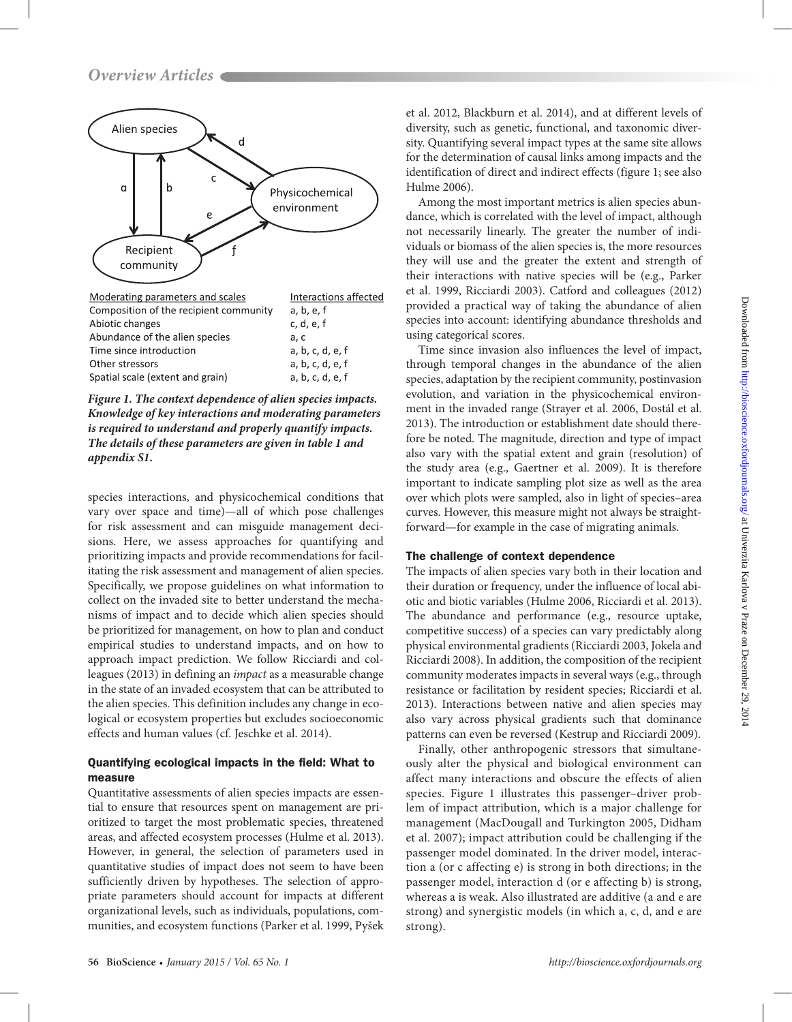

*Figure 1. The context dependence of alien species impacts. Knowledge of key interactions and moderating parameters is required to understand and properly quantify impacts. The details of these parameters are given in table 1 and appendix S1.*

species interactions, and physicochemical conditions that vary over space and time)—all of which pose challenges for risk assessment and can misguide management decisions. Here, we assess approaches for quantifying and prioritizing impacts and provide recommendations for facilitating the risk assessment and management of alien species. Specifically, we propose guidelines on what information to collect on the invaded site to better understand the mechanisms of impact and to decide which alien species should be prioritized for management, on how to plan and conduct empirical studies to understand impacts, and on how to approach impact prediction. We follow Ricciardi and colleagues (2013) in defining an *impact* as a measurable change in the state of an invaded ecosystem that can be attributed to the alien species. This definition includes any change in ecological or ecosystem properties but excludes socioeconomic effects and human values (cf. Jeschke et al. 2014).

# Quantifying ecological impacts in the field: What to measure

Quantitative assessments of alien species impacts are essential to ensure that resources spent on management are prioritized to target the most problematic species, threatened areas, and affected ecosystem processes (Hulme et al. 2013). However, in general, the selection of parameters used in quantitative studies of impact does not seem to have been sufficiently driven by hypotheses. The selection of appropriate parameters should account for impacts at different organizational levels, such as individuals, populations, communities, and ecosystem functions (Parker et al. 1999, Pyšek

et al. 2012, Blackburn et al. 2014), and at different levels of diversity, such as genetic, functional, and taxonomic diversity. Quantifying several impact types at the same site allows for the determination of causal links among impacts and the identification of direct and indirect effects (figure 1; see also Hulme 2006).

Among the most important metrics is alien species abundance, which is correlated with the level of impact, although not necessarily linearly. The greater the number of individuals or biomass of the alien species is, the more resources they will use and the greater the extent and strength of their interactions with native species will be (e.g., Parker et al. 1999, Ricciardi 2003). Catford and colleagues (2012) provided a practical way of taking the abundance of alien species into account: identifying abundance thresholds and using categorical scores.

Time since invasion also influences the level of impact, through temporal changes in the abundance of the alien species, adaptation by the recipient community, postinvasion evolution, and variation in the physicochemical environment in the invaded range (Strayer et al. 2006, Dostál et al. 2013). The introduction or establishment date should therefore be noted. The magnitude, direction and type of impact also vary with the spatial extent and grain (resolution) of the study area (e.g., Gaertner et al. 2009). It is therefore important to indicate sampling plot size as well as the area over which plots were sampled, also in light of species–area curves. However, this measure might not always be straightforward—for example in the case of migrating animals.

# The challenge of context dependence

The impacts of alien species vary both in their location and their duration or frequency, under the influence of local abiotic and biotic variables (Hulme 2006, Ricciardi et al. 2013). The abundance and performance (e.g., resource uptake, competitive success) of a species can vary predictably along physical environmental gradients (Ricciardi 2003, Jokela and Ricciardi 2008). In addition, the composition of the recipient community moderates impacts in several ways (e.g., through resistance or facilitation by resident species; Ricciardi et al. 2013). Interactions between native and alien species may also vary across physical gradients such that dominance patterns can even be reversed (Kestrup and Ricciardi 2009).

Finally, other anthropogenic stressors that simultaneously alter the physical and biological environment can affect many interactions and obscure the effects of alien species. Figure 1 illustrates this passenger–driver problem of impact attribution, which is a major challenge for management (MacDougall and Turkington 2005, Didham et al. 2007); impact attribution could be challenging if the passenger model dominated. In the driver model, interaction a (or c affecting e) is strong in both directions; in the passenger model, interaction d (or e affecting b) is strong, whereas a is weak. Also illustrated are additive (a and e are strong) and synergistic models (in which a, c, d, and e are strong).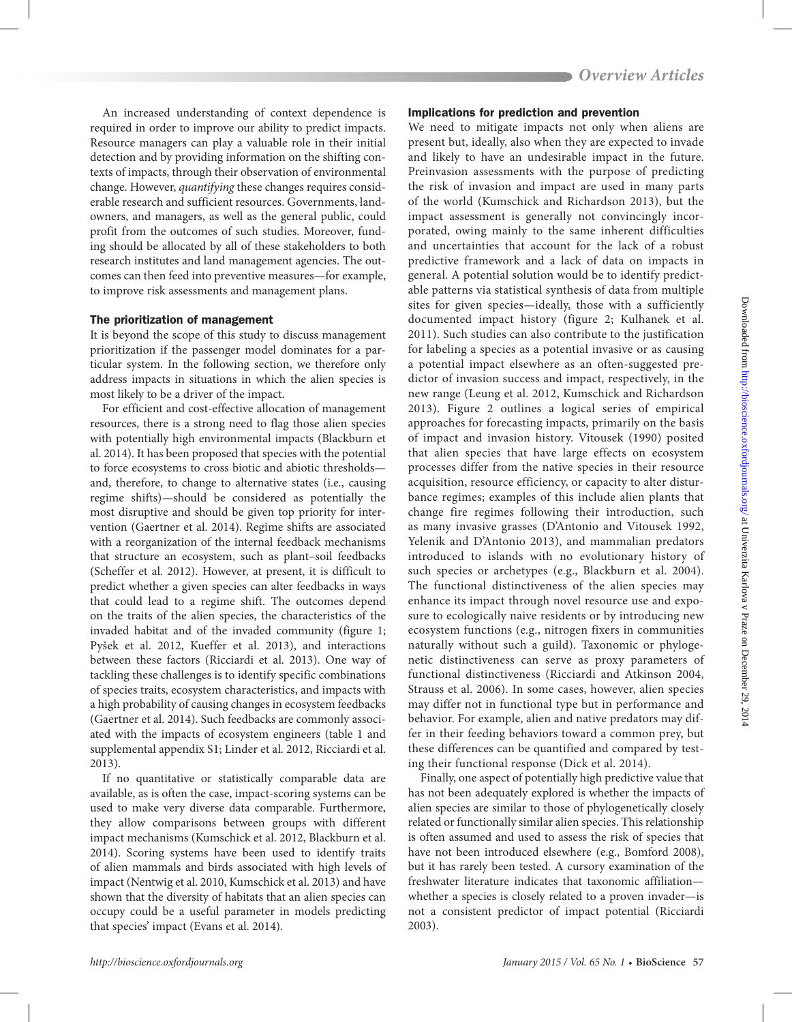An increased understanding of context dependence is required in order to improve our ability to predict impacts. Resource managers can play a valuable role in their initial detection and by providing information on the shifting contexts of impacts, through their observation of environmental change. However, *quantifying* these changes requires considerable research and sufficient resources. Governments, landowners, and managers, as well as the general public, could profit from the outcomes of such studies. Moreover, funding should be allocated by all of these stakeholders to both research institutes and land management agencies. The outcomes can then feed into preventive measures—for example, to improve risk assessments and management plans.

## The prioritization of management

It is beyond the scope of this study to discuss management prioritization if the passenger model dominates for a particular system. In the following section, we therefore only address impacts in situations in which the alien species is most likely to be a driver of the impact.

For efficient and cost-effective allocation of management resources, there is a strong need to flag those alien species with potentially high environmental impacts (Blackburn et al. 2014). It has been proposed that species with the potential to force ecosystems to cross biotic and abiotic thresholds and, therefore, to change to alternative states (i.e., causing regime shifts)—should be considered as potentially the most disruptive and should be given top priority for intervention (Gaertner et al. 2014). Regime shifts are associated with a reorganization of the internal feedback mechanisms that structure an ecosystem, such as plant–soil feedbacks (Scheffer et al. 2012). However, at present, it is difficult to predict whether a given species can alter feedbacks in ways that could lead to a regime shift. The outcomes depend on the traits of the alien species, the characteristics of the invaded habitat and of the invaded community (figure 1; Pyšek et al. 2012, Kueffer et al. 2013), and interactions between these factors (Ricciardi et al. 2013). One way of tackling these challenges is to identify specific combinations of species traits, ecosystem characteristics, and impacts with a high probability of causing changes in ecosystem feedbacks (Gaertner et al. 2014). Such feedbacks are commonly associated with the impacts of ecosystem engineers (table 1 and supplemental appendix S1; Linder et al. 2012, Ricciardi et al. 2013).

If no quantitative or statistically comparable data are available, as is often the case, impact-scoring systems can be used to make very diverse data comparable. Furthermore, they allow comparisons between groups with different impact mechanisms (Kumschick et al. 2012, Blackburn et al. 2014). Scoring systems have been used to identify traits of alien mammals and birds associated with high levels of impact (Nentwig et al. 2010, Kumschick et al. 2013) and have shown that the diversity of habitats that an alien species can occupy could be a useful parameter in models predicting that species' impact (Evans et al. 2014).

#### Implications for prediction and prevention

We need to mitigate impacts not only when aliens are present but, ideally, also when they are expected to invade and likely to have an undesirable impact in the future. Preinvasion assessments with the purpose of predicting the risk of invasion and impact are used in many parts of the world (Kumschick and Richardson 2013), but the impact assessment is generally not convincingly incorporated, owing mainly to the same inherent difficulties and uncertainties that account for the lack of a robust predictive framework and a lack of data on impacts in general. A potential solution would be to identify predictable patterns via statistical synthesis of data from multiple sites for given species—ideally, those with a sufficiently documented impact history (figure 2; Kulhanek et al. 2011). Such studies can also contribute to the justification for labeling a species as a potential invasive or as causing a potential impact elsewhere as an often-suggested predictor of invasion success and impact, respectively, in the new range (Leung et al. 2012, Kumschick and Richardson 2013). Figure 2 outlines a logical series of empirical approaches for forecasting impacts, primarily on the basis of impact and invasion history. Vitousek (1990) posited that alien species that have large effects on ecosystem processes differ from the native species in their resource acquisition, resource efficiency, or capacity to alter disturbance regimes; examples of this include alien plants that change fire regimes following their introduction, such as many invasive grasses (D'Antonio and Vitousek 1992, Yelenik and D'Antonio 2013), and mammalian predators introduced to islands with no evolutionary history of such species or archetypes (e.g., Blackburn et al. 2004). The functional distinctiveness of the alien species may enhance its impact through novel resource use and exposure to ecologically naive residents or by introducing new ecosystem functions (e.g., nitrogen fixers in communities naturally without such a guild). Taxonomic or phylogenetic distinctiveness can serve as proxy parameters of functional distinctiveness (Ricciardi and Atkinson 2004, Strauss et al. 2006). In some cases, however, alien species may differ not in functional type but in performance and behavior. For example, alien and native predators may differ in their feeding behaviors toward a common prey, but these differences can be quantified and compared by testing their functional response (Dick et al. 2014).

Finally, one aspect of potentially high predictive value that has not been adequately explored is whether the impacts of alien species are similar to those of phylogenetically closely related or functionally similar alien species. This relationship is often assumed and used to assess the risk of species that have not been introduced elsewhere (e.g., Bomford 2008), but it has rarely been tested. A cursory examination of the freshwater literature indicates that taxonomic affiliation whether a species is closely related to a proven invader—is not a consistent predictor of impact potential (Ricciardi 2003).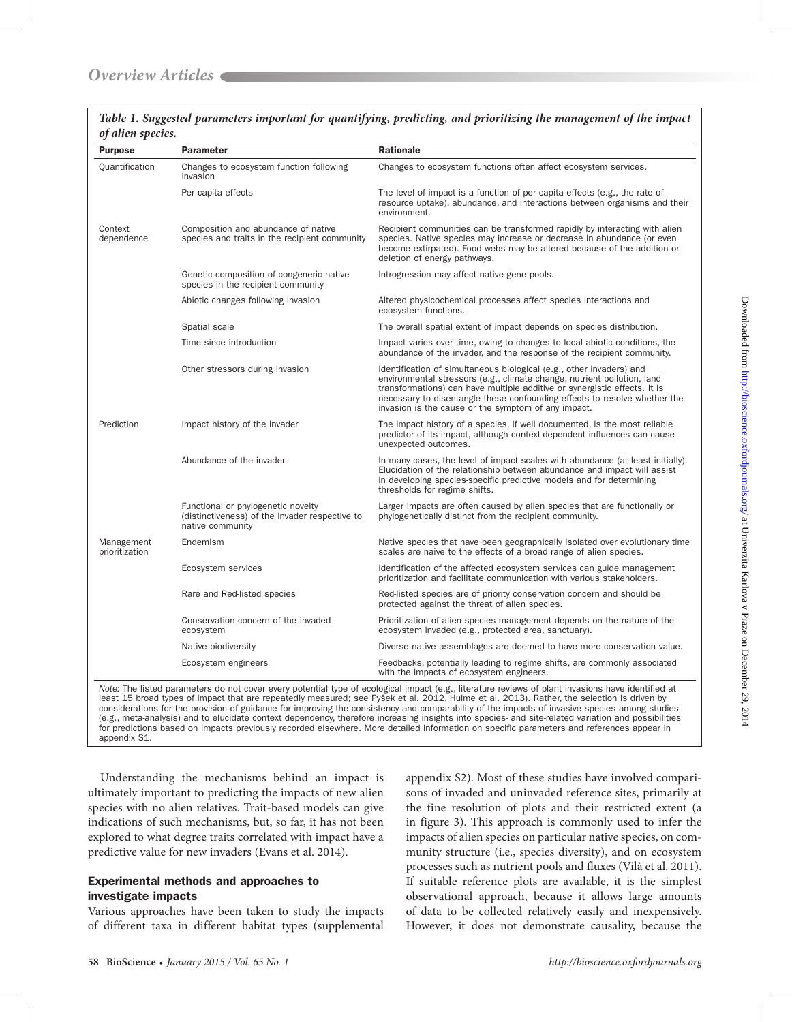| <b>Purpose</b>               | Parameter                                                                                                | <b>Rationale</b>                                                                                                                                                                                                                                                                                                                                                 |
|------------------------------|----------------------------------------------------------------------------------------------------------|------------------------------------------------------------------------------------------------------------------------------------------------------------------------------------------------------------------------------------------------------------------------------------------------------------------------------------------------------------------|
| Quantification               | Changes to ecosystem function following<br>invasion                                                      | Changes to ecosystem functions often affect ecosystem services.                                                                                                                                                                                                                                                                                                  |
|                              | Per capita effects                                                                                       | The level of impact is a function of per capita effects (e.g., the rate of<br>resource uptake), abundance, and interactions between organisms and their<br>environment.                                                                                                                                                                                          |
| Context<br>dependence        | Composition and abundance of native<br>species and traits in the recipient community                     | Recipient communities can be transformed rapidly by interacting with alien<br>species. Native species may increase or decrease in abundance (or even<br>become extirpated). Food webs may be altered because of the addition or<br>deletion of energy pathways.                                                                                                  |
|                              | Genetic composition of congeneric native<br>species in the recipient community                           | Introgression may affect native gene pools.                                                                                                                                                                                                                                                                                                                      |
|                              | Abiotic changes following invasion                                                                       | Altered physicochemical processes affect species interactions and<br>ecosystem functions.                                                                                                                                                                                                                                                                        |
|                              | Spatial scale                                                                                            | The overall spatial extent of impact depends on species distribution.                                                                                                                                                                                                                                                                                            |
|                              | Time since introduction                                                                                  | Impact varies over time, owing to changes to local abiotic conditions, the<br>abundance of the invader, and the response of the recipient community.                                                                                                                                                                                                             |
|                              | Other stressors during invasion                                                                          | Identification of simultaneous biological (e.g., other invaders) and<br>environmental stressors (e.g., climate change, nutrient pollution, land<br>transformations) can have multiple additive or synergistic effects. It is<br>necessary to disentangle these confounding effects to resolve whether the<br>invasion is the cause or the symptom of any impact. |
| Prediction                   | Impact history of the invader                                                                            | The impact history of a species, if well documented, is the most reliable<br>predictor of its impact, although context-dependent influences can cause<br>unexpected outcomes.                                                                                                                                                                                    |
|                              | Abundance of the invader                                                                                 | In many cases, the level of impact scales with abundance (at least initially).<br>Elucidation of the relationship between abundance and impact will assist<br>in developing species-specific predictive models and for determining<br>thresholds for regime shifts.                                                                                              |
|                              | Functional or phylogenetic novelty<br>(distinctiveness) of the invader respective to<br>native community | Larger impacts are often caused by alien species that are functionally or<br>phylogenetically distinct from the recipient community.                                                                                                                                                                                                                             |
| Management<br>prioritization | Endemism                                                                                                 | Native species that have been geographically isolated over evolutionary time<br>scales are naive to the effects of a broad range of alien species.                                                                                                                                                                                                               |
|                              | Ecosystem services                                                                                       | Identification of the affected ecosystem services can guide management<br>prioritization and facilitate communication with various stakeholders.                                                                                                                                                                                                                 |
|                              | Rare and Red-listed species                                                                              | Red-listed species are of priority conservation concern and should be<br>protected against the threat of alien species.                                                                                                                                                                                                                                          |
|                              | Conservation concern of the invaded<br>ecosystem                                                         | Prioritization of alien species management depends on the nature of the<br>ecosystem invaded (e.g., protected area, sanctuary).                                                                                                                                                                                                                                  |
|                              | Native biodiversity                                                                                      | Diverse native assemblages are deemed to have more conservation value.                                                                                                                                                                                                                                                                                           |
|                              | Ecosystem engineers                                                                                      | Feedbacks, potentially leading to regime shifts, are commonly associated<br>with the impacts of ecosystem engineers.                                                                                                                                                                                                                                             |

*Table 1. Suggested parameters important for quantifying, predicting, and prioritizing the management of the impact of alien species.*

considerations for the provision of guidance for improving the consistency and comparability of the impacts of invasive species among studies (e.g., meta-analysis) and to elucidate context dependency, therefore increasing insights into species- and site-related variation and possibilities for predictions based on impacts previously recorded elsewhere. More detailed information on specific parameters and references appear in appendix S1.

Understanding the mechanisms behind an impact is ultimately important to predicting the impacts of new alien species with no alien relatives. Trait-based models can give indications of such mechanisms, but, so far, it has not been explored to what degree traits correlated with impact have a predictive value for new invaders (Evans et al. 2014).

## Experimental methods and approaches to investigate impacts

Various approaches have been taken to study the impacts of different taxa in different habitat types (supplemental

appendix S2). Most of these studies have involved comparisons of invaded and uninvaded reference sites, primarily at the fine resolution of plots and their restricted extent (a in figure 3). This approach is commonly used to infer the impacts of alien species on particular native species, on community structure (i.e., species diversity), and on ecosystem processes such as nutrient pools and fluxes (Vilà et al. 2011). If suitable reference plots are available, it is the simplest observational approach, because it allows large amounts of data to be collected relatively easily and inexpensively. However, it does not demonstrate causality, because the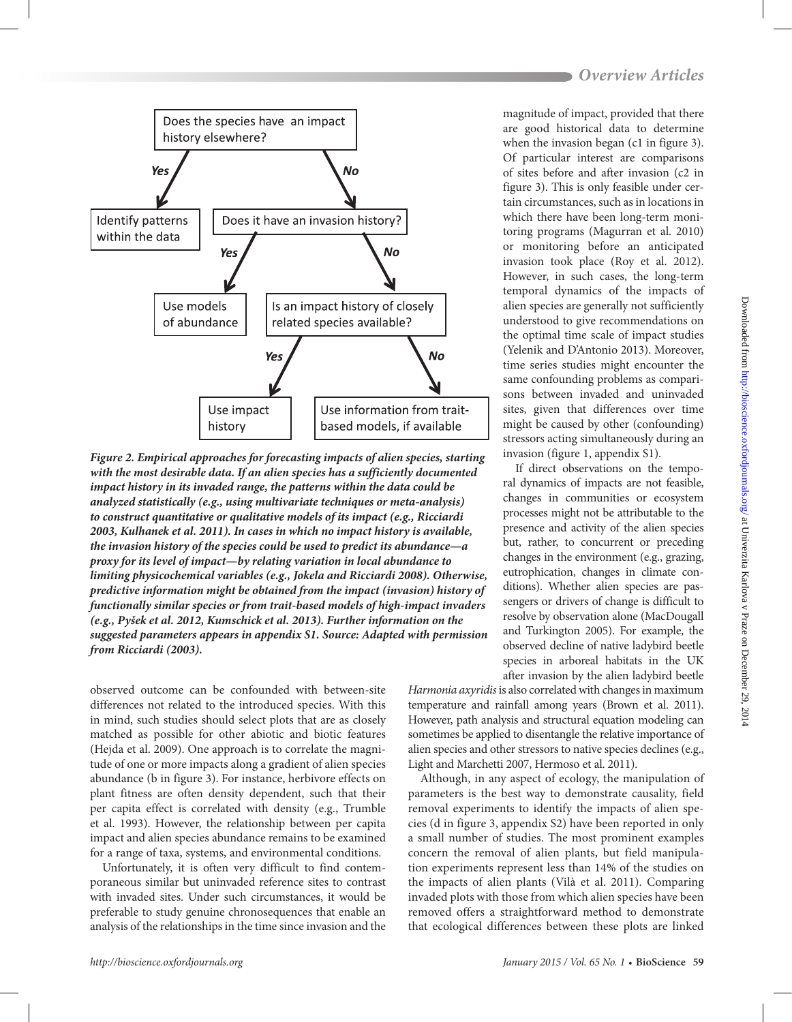

*Figure 2. Empirical approaches for forecasting impacts of alien species, starting with the most desirable data. If an alien species has a sufficiently documented impact history in its invaded range, the patterns within the data could be analyzed statistically (e.g., using multivariate techniques or meta-analysis) to construct quantitative or qualitative models of its impact (e.g., Ricciardi 2003, Kulhanek et al. 2011). In cases in which no impact history is available, the invasion history of the species could be used to predict its abundance—a proxy for its level of impact—by relating variation in local abundance to limiting physicochemical variables (e.g., Jokela and Ricciardi 2008). Otherwise, predictive information might be obtained from the impact (invasion) history of functionally similar species or from trait-based models of high-impact invaders (e.g., Pyšek et al. 2012, Kumschick et al. 2013). Further information on the suggested parameters appears in appendix S1. Source: Adapted with permission from Ricciardi (2003).* 

observed outcome can be confounded with between-site differences not related to the introduced species. With this in mind, such studies should select plots that are as closely matched as possible for other abiotic and biotic features (Hejda et al. 2009). One approach is to correlate the magnitude of one or more impacts along a gradient of alien species abundance (b in figure 3). For instance, herbivore effects on plant fitness are often density dependent, such that their per capita effect is correlated with density (e.g., Trumble et al. 1993). However, the relationship between per capita impact and alien species abundance remains to be examined for a range of taxa, systems, and environmental conditions.

Unfortunately, it is often very difficult to find contemporaneous similar but uninvaded reference sites to contrast with invaded sites. Under such circumstances, it would be preferable to study genuine chronosequences that enable an analysis of the relationships in the time since invasion and the

magnitude of impact, provided that there are good historical data to determine when the invasion began (c1 in figure 3). Of particular interest are comparisons of sites before and after invasion (c2 in figure 3). This is only feasible under certain circumstances, such as in locations in which there have been long-term monitoring programs (Magurran et al. 2010) or monitoring before an anticipated invasion took place (Roy et al. 2012). However, in such cases, the long-term temporal dynamics of the impacts of alien species are generally not sufficiently understood to give recommendations on the optimal time scale of impact studies (Yelenik and D'Antonio 2013). Moreover, time series studies might encounter the same confounding problems as comparisons between invaded and uninvaded sites, given that differences over time might be caused by other (confounding) stressors acting simultaneously during an invasion (figure 1, appendix S1).

If direct observations on the temporal dynamics of impacts are not feasible, changes in communities or ecosystem processes might not be attributable to the presence and activity of the alien species but, rather, to concurrent or preceding changes in the environment (e.g., grazing, eutrophication, changes in climate conditions). Whether alien species are passengers or drivers of change is difficult to resolve by observation alone (MacDougall and Turkington 2005). For example, the observed decline of native ladybird beetle species in arboreal habitats in the UK after invasion by the alien ladybird beetle

*Harmonia axyridis* is also correlated with changes in maximum temperature and rainfall among years (Brown et al. 2011). However, path analysis and structural equation modeling can sometimes be applied to disentangle the relative importance of alien species and other stressors to native species declines (e.g., Light and Marchetti 2007, Hermoso et al. 2011).

Although, in any aspect of ecology, the manipulation of parameters is the best way to demonstrate causality, field removal experiments to identify the impacts of alien species (d in figure 3, appendix S2) have been reported in only a small number of studies. The most prominent examples concern the removal of alien plants, but field manipulation experiments represent less than 14% of the studies on the impacts of alien plants (Vilà et al. 2011). Comparing invaded plots with those from which alien species have been removed offers a straightforward method to demonstrate that ecological differences between these plots are linked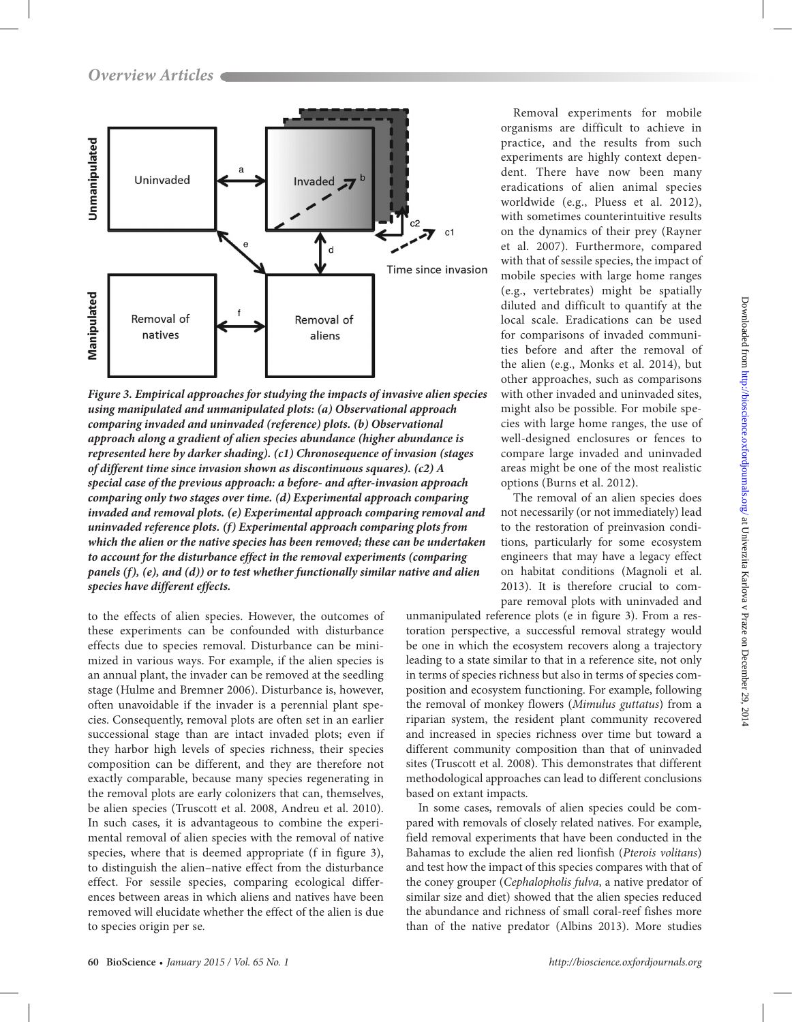

*Figure 3. Empirical approaches for studying the impacts of invasive alien species using manipulated and unmanipulated plots: (a) Observational approach comparing invaded and uninvaded (reference) plots. (b) Observational approach along a gradient of alien species abundance (higher abundance is represented here by darker shading). (c1) Chronosequence of invasion (stages of different time since invasion shown as discontinuous squares). (c2) A special case of the previous approach: a before- and after-invasion approach comparing only two stages over time. (d) Experimental approach comparing invaded and removal plots. (e) Experimental approach comparing removal and uninvaded reference plots. (f) Experimental approach comparing plots from which the alien or the native species has been removed; these can be undertaken to account for the disturbance effect in the removal experiments (comparing panels (f), (e), and (d)) or to test whether functionally similar native and alien species have different effects.*

to the effects of alien species. However, the outcomes of these experiments can be confounded with disturbance effects due to species removal. Disturbance can be minimized in various ways. For example, if the alien species is an annual plant, the invader can be removed at the seedling stage (Hulme and Bremner 2006). Disturbance is, however, often unavoidable if the invader is a perennial plant species. Consequently, removal plots are often set in an earlier successional stage than are intact invaded plots; even if they harbor high levels of species richness, their species composition can be different, and they are therefore not exactly comparable, because many species regenerating in the removal plots are early colonizers that can, themselves, be alien species (Truscott et al. 2008, Andreu et al. 2010). In such cases, it is advantageous to combine the experimental removal of alien species with the removal of native species, where that is deemed appropriate (f in figure 3), to distinguish the alien–native effect from the disturbance effect. For sessile species, comparing ecological differences between areas in which aliens and natives have been removed will elucidate whether the effect of the alien is due to species origin per se*.*

Removal experiments for mobile organisms are difficult to achieve in practice, and the results from such experiments are highly context dependent. There have now been many eradications of alien animal species worldwide (e.g., Pluess et al. 2012), with sometimes counterintuitive results on the dynamics of their prey (Rayner et al. 2007). Furthermore, compared with that of sessile species, the impact of mobile species with large home ranges (e.g., vertebrates) might be spatially diluted and difficult to quantify at the local scale. Eradications can be used for comparisons of invaded communities before and after the removal of the alien (e.g., Monks et al. 2014), but other approaches, such as comparisons with other invaded and uninvaded sites, might also be possible. For mobile species with large home ranges, the use of well-designed enclosures or fences to compare large invaded and uninvaded areas might be one of the most realistic options (Burns et al. 2012).

The removal of an alien species does not necessarily (or not immediately) lead to the restoration of preinvasion conditions, particularly for some ecosystem engineers that may have a legacy effect on habitat conditions (Magnoli et al. 2013). It is therefore crucial to compare removal plots with uninvaded and

unmanipulated reference plots (e in figure 3). From a restoration perspective, a successful removal strategy would be one in which the ecosystem recovers along a trajectory leading to a state similar to that in a reference site, not only in terms of species richness but also in terms of species composition and ecosystem functioning. For example, following the removal of monkey flowers (*Mimulus guttatus*) from a riparian system, the resident plant community recovered and increased in species richness over time but toward a different community composition than that of uninvaded sites (Truscott et al. 2008). This demonstrates that different methodological approaches can lead to different conclusions based on extant impacts.

In some cases, removals of alien species could be compared with removals of closely related natives. For example, field removal experiments that have been conducted in the Bahamas to exclude the alien red lionfish (*Pterois volitans*) and test how the impact of this species compares with that of the coney grouper (*Cephalopholis fulva*, a native predator of similar size and diet) showed that the alien species reduced the abundance and richness of small coral-reef fishes more than of the native predator (Albins 2013). More studies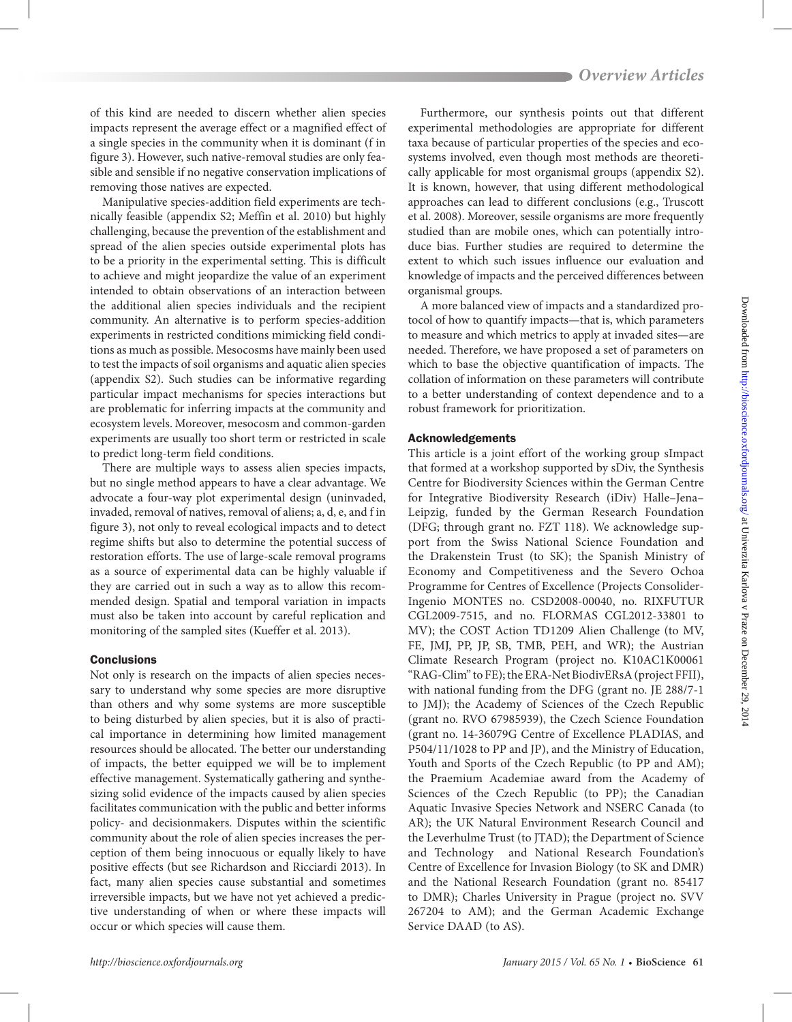of this kind are needed to discern whether alien species impacts represent the average effect or a magnified effect of a single species in the community when it is dominant (f in figure 3). However, such native-removal studies are only feasible and sensible if no negative conservation implications of removing those natives are expected.

Manipulative species-addition field experiments are technically feasible (appendix S2; Meffin et al. 2010) but highly challenging, because the prevention of the establishment and spread of the alien species outside experimental plots has to be a priority in the experimental setting. This is difficult to achieve and might jeopardize the value of an experiment intended to obtain observations of an interaction between the additional alien species individuals and the recipient community. An alternative is to perform species-addition experiments in restricted conditions mimicking field conditions as much as possible. Mesocosms have mainly been used to test the impacts of soil organisms and aquatic alien species (appendix S2). Such studies can be informative regarding particular impact mechanisms for species interactions but are problematic for inferring impacts at the community and ecosystem levels. Moreover, mesocosm and common-garden experiments are usually too short term or restricted in scale to predict long-term field conditions.

There are multiple ways to assess alien species impacts, but no single method appears to have a clear advantage. We advocate a four-way plot experimental design (uninvaded, invaded, removal of natives, removal of aliens; a, d, e, and f in figure 3), not only to reveal ecological impacts and to detect regime shifts but also to determine the potential success of restoration efforts. The use of large-scale removal programs as a source of experimental data can be highly valuable if they are carried out in such a way as to allow this recommended design. Spatial and temporal variation in impacts must also be taken into account by careful replication and monitoring of the sampled sites (Kueffer et al. 2013).

# **Conclusions**

Not only is research on the impacts of alien species necessary to understand why some species are more disruptive than others and why some systems are more susceptible to being disturbed by alien species, but it is also of practical importance in determining how limited management resources should be allocated. The better our understanding of impacts, the better equipped we will be to implement effective management. Systematically gathering and synthesizing solid evidence of the impacts caused by alien species facilitates communication with the public and better informs policy- and decisionmakers. Disputes within the scientific community about the role of alien species increases the perception of them being innocuous or equally likely to have positive effects (but see Richardson and Ricciardi 2013). In fact, many alien species cause substantial and sometimes irreversible impacts, but we have not yet achieved a predictive understanding of when or where these impacts will occur or which species will cause them.

Furthermore, our synthesis points out that different experimental methodologies are appropriate for different taxa because of particular properties of the species and ecosystems involved, even though most methods are theoretically applicable for most organismal groups (appendix S2). It is known, however, that using different methodological approaches can lead to different conclusions (e.g., Truscott et al. 2008). Moreover, sessile organisms are more frequently studied than are mobile ones, which can potentially introduce bias. Further studies are required to determine the extent to which such issues influence our evaluation and knowledge of impacts and the perceived differences between organismal groups.

A more balanced view of impacts and a standardized protocol of how to quantify impacts—that is, which parameters to measure and which metrics to apply at invaded sites—are needed. Therefore, we have proposed a set of parameters on which to base the objective quantification of impacts. The collation of information on these parameters will contribute to a better understanding of context dependence and to a robust framework for prioritization.

# Acknowledgements

This article is a joint effort of the working group sImpact that formed at a workshop supported by sDiv, the Synthesis Centre for Biodiversity Sciences within the German Centre for Integrative Biodiversity Research (iDiv) Halle–Jena– Leipzig, funded by the German Research Foundation (DFG; through grant no. FZT 118). We acknowledge support from the Swiss National Science Foundation and the Drakenstein Trust (to SK); the Spanish Ministry of Economy and Competitiveness and the Severo Ochoa Programme for Centres of Excellence (Projects Consolider-Ingenio MONTES no. CSD2008-00040, no. RIXFUTUR CGL2009-7515, and no. FLORMAS CGL2012-33801 to MV); the COST Action TD1209 Alien Challenge (to MV, FE, JMJ, PP, JP, SB, TMB, PEH, and WR); the Austrian Climate Research Program (project no. K10AC1K00061 "RAG-Clim" to FE); the ERA-Net BiodivERsA (project FFII), with national funding from the DFG (grant no. JE 288/7-1 to JMJ); the Academy of Sciences of the Czech Republic (grant no. RVO 67985939), the Czech Science Foundation (grant no. 14-36079G Centre of Excellence PLADIAS, and P504/11/1028 to PP and JP), and the Ministry of Education, Youth and Sports of the Czech Republic (to PP and AM); the Praemium Academiae award from the Academy of Sciences of the Czech Republic (to PP); the Canadian Aquatic Invasive Species Network and NSERC Canada (to AR); the UK Natural Environment Research Council and the Leverhulme Trust (to JTAD); the Department of Science and Technology and National Research Foundation's Centre of Excellence for Invasion Biology (to SK and DMR) and the National Research Foundation (grant no. 85417 to DMR); Charles University in Prague (project no. SVV 267204 to AM); and the German Academic Exchange Service DAAD (to AS).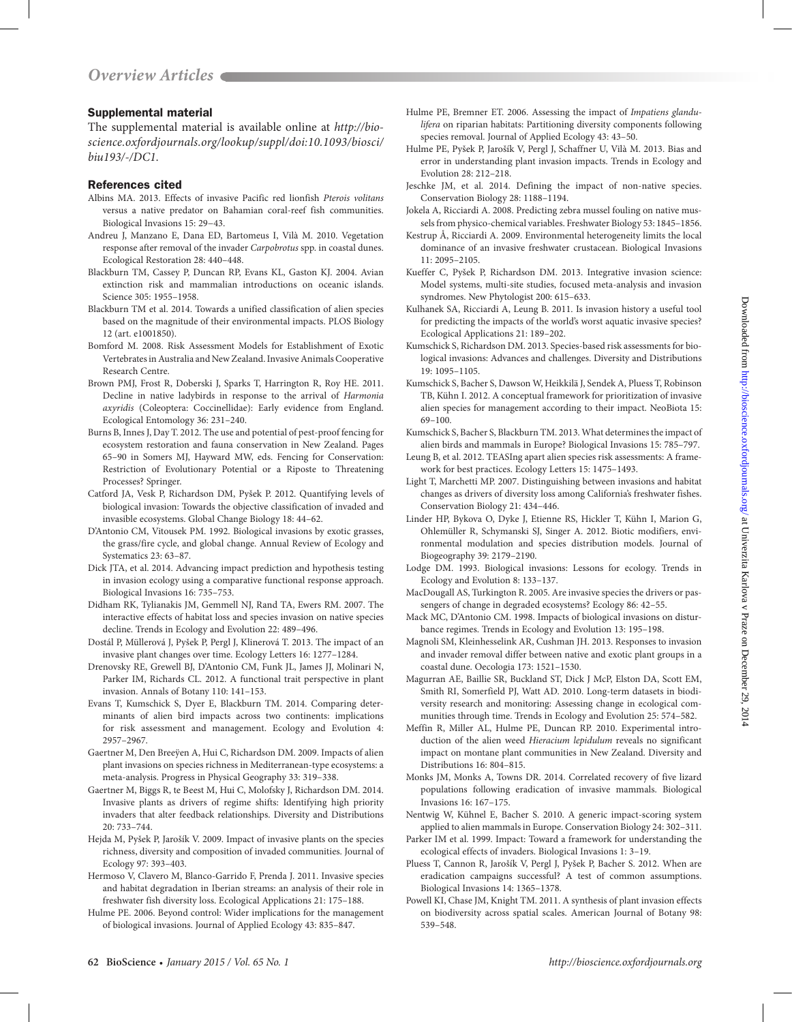# Supplemental material

The supplemental material is available online at *[http://bio](http://bioscience.oxfordjournals.org/lookup/suppl/doi:10.1093/biosci/biu193/-/DC1)[science.oxfordjournals.org/lookup/suppl/doi:10.1093/biosci/](http://bioscience.oxfordjournals.org/lookup/suppl/doi:10.1093/biosci/biu193/-/DC1) [biu193/-/DC1](http://bioscience.oxfordjournals.org/lookup/suppl/doi:10.1093/biosci/biu193/-/DC1)*.

#### References cited

- Albins MA. 2013. Effects of invasive Pacific red lionfish *Pterois volitans* versus a native predator on Bahamian coral-reef fish communities. Biological Invasions 15: 29−43.
- Andreu J, Manzano E, Dana ED, Bartomeus I, Vilà M. 2010. Vegetation response after removal of the invader *Carpobrotus* spp. in coastal dunes. Ecological Restoration 28: 440–448.
- Blackburn TM, Cassey P, Duncan RP, Evans KL, Gaston KJ. 2004. Avian extinction risk and mammalian introductions on oceanic islands. Science 305: 1955–1958.
- Blackburn TM et al. 2014. Towards a unified classification of alien species based on the magnitude of their environmental impacts. PLOS Biology 12 (art. e1001850).
- Bomford M. 2008. Risk Assessment Models for Establishment of Exotic Vertebrates in Australia and New Zealand. Invasive Animals Cooperative Research Centre.
- Brown PMJ, Frost R, Doberski J, Sparks T, Harrington R, Roy HE. 2011. Decline in native ladybirds in response to the arrival of *Harmonia axyridis* (Coleoptera: Coccinellidae): Early evidence from England. Ecological Entomology 36: 231–240.
- Burns B, Innes J, Day T. 2012. The use and potential of pest-proof fencing for ecosystem restoration and fauna conservation in New Zealand. Pages 65–90 in Somers MJ, Hayward MW, eds. Fencing for Conservation: Restriction of Evolutionary Potential or a Riposte to Threatening Processes? Springer.
- Catford JA, Vesk P, Richardson DM, Pyšek P. 2012. Quantifying levels of biological invasion: Towards the objective classification of invaded and invasible ecosystems. Global Change Biology 18: 44–62.
- D'Antonio CM, Vitousek PM. 1992. Biological invasions by exotic grasses, the grass/fire cycle, and global change. Annual Review of Ecology and Systematics 23: 63–87.
- Dick JTA, et al. 2014. Advancing impact prediction and hypothesis testing in invasion ecology using a comparative functional response approach. Biological Invasions 16: 735–753.
- Didham RK, Tylianakis JM, Gemmell NJ, Rand TA, Ewers RM. 2007. The interactive effects of habitat loss and species invasion on native species decline. Trends in Ecology and Evolution 22: 489–496.
- Dostál P, Müllerová J, Pyšek P, Pergl J, Klinerová T. 2013. The impact of an invasive plant changes over time. Ecology Letters 16: 1277–1284.
- Drenovsky RE, Grewell BJ, D'Antonio CM, Funk JL, James JJ, Molinari N, Parker IM, Richards CL. 2012. A functional trait perspective in plant invasion. Annals of Botany 110: 141–153.
- Evans T, Kumschick S, Dyer E, Blackburn TM. 2014. Comparing determinants of alien bird impacts across two continents: implications for risk assessment and management. Ecology and Evolution 4: 2957–2967.
- Gaertner M, Den Breeÿen A, Hui C, Richardson DM. 2009. Impacts of alien plant invasions on species richness in Mediterranean-type ecosystems: a meta-analysis. Progress in Physical Geography 33: 319–338.
- Gaertner M, Biggs R, te Beest M, Hui C, Molofsky J, Richardson DM. 2014. Invasive plants as drivers of regime shifts: Identifying high priority invaders that alter feedback relationships. Diversity and Distributions 20: 733–744.
- Hejda M, Pyšek P, Jarošík V. 2009. Impact of invasive plants on the species richness, diversity and composition of invaded communities. Journal of Ecology 97: 393–403.
- Hermoso V, Clavero M, Blanco-Garrido F, Prenda J. 2011. Invasive species and habitat degradation in Iberian streams: an analysis of their role in freshwater fish diversity loss. Ecological Applications 21: 175–188.
- Hulme PE. 2006. Beyond control: Wider implications for the management of biological invasions. Journal of Applied Ecology 43: 835–847.
- Hulme PE, Bremner ET. 2006. Assessing the impact of *Impatiens glandulifera* on riparian habitats: Partitioning diversity components following species removal. Journal of Applied Ecology 43: 43–50.
- Hulme PE, Pyšek P, Jarošík V, Pergl J, Schaffner U, Vilà M. 2013. Bias and error in understanding plant invasion impacts. Trends in Ecology and Evolution 28: 212–218.
- Jeschke JM, et al. 2014. Defining the impact of non-native species. Conservation Biology 28: 1188–1194.
- Jokela A, Ricciardi A. 2008. Predicting zebra mussel fouling on native mussels from physico-chemical variables. Freshwater Biology 53: 1845–1856.
- Kestrup Å, Ricciardi A. 2009. Environmental heterogeneity limits the local dominance of an invasive freshwater crustacean. Biological Invasions 11: 2095–2105.
- Kueffer C, Pyšek P, Richardson DM. 2013. Integrative invasion science: Model systems, multi-site studies, focused meta-analysis and invasion syndromes. New Phytologist 200: 615–633.
- Kulhanek SA, Ricciardi A, Leung B. 2011. Is invasion history a useful tool for predicting the impacts of the world's worst aquatic invasive species? Ecological Applications 21: 189–202.
- Kumschick S, Richardson DM. 2013. Species-based risk assessments for biological invasions: Advances and challenges. Diversity and Distributions 19: 1095–1105.
- Kumschick S, Bacher S, Dawson W, Heikkilä J, Sendek A, Pluess T, Robinson TB, Kühn I. 2012. A conceptual framework for prioritization of invasive alien species for management according to their impact. NeoBiota 15: 69–100.
- Kumschick S, Bacher S, Blackburn TM. 2013. What determines the impact of alien birds and mammals in Europe? Biological Invasions 15: 785–797.
- Leung B, et al. 2012. TEASIng apart alien species risk assessments: A framework for best practices. Ecology Letters 15: 1475–1493.
- Light T, Marchetti MP. 2007. Distinguishing between invasions and habitat changes as drivers of diversity loss among California's freshwater fishes. Conservation Biology 21: 434–446.
- Linder HP, Bykova O, Dyke J, Etienne RS, Hickler T, Kühn I, Marion G, Ohlemüller R, Schymanski SJ, Singer A. 2012. Biotic modifiers, environmental modulation and species distribution models. Journal of Biogeography 39: 2179–2190.
- Lodge DM. 1993. Biological invasions: Lessons for ecology. Trends in Ecology and Evolution 8: 133–137.
- MacDougall AS, Turkington R. 2005. Are invasive species the drivers or passengers of change in degraded ecosystems? Ecology 86: 42–55.
- Mack MC, D'Antonio CM. 1998. Impacts of biological invasions on disturbance regimes. Trends in Ecology and Evolution 13: 195–198.
- Magnoli SM, Kleinhesselink AR, Cushman JH. 2013. Responses to invasion and invader removal differ between native and exotic plant groups in a coastal dune. Oecologia 173: 1521–1530.
- Magurran AE, Baillie SR, Buckland ST, Dick J McP, Elston DA, Scott EM, Smith RI, Somerfield PJ, Watt AD. 2010. Long-term datasets in biodiversity research and monitoring: Assessing change in ecological communities through time. Trends in Ecology and Evolution 25: 574–582.
- Meffin R, Miller AL, Hulme PE, Duncan RP. 2010. Experimental introduction of the alien weed *Hieracium lepidulum* reveals no significant impact on montane plant communities in New Zealand. Diversity and Distributions 16: 804–815.
- Monks JM, Monks A, Towns DR. 2014. Correlated recovery of five lizard populations following eradication of invasive mammals. Biological Invasions 16: 167–175.
- Nentwig W, Kühnel E, Bacher S. 2010. A generic impact-scoring system applied to alien mammals in Europe. Conservation Biology 24: 302–311.
- Parker IM et al. 1999. Impact: Toward a framework for understanding the ecological effects of invaders. Biological Invasions 1: 3–19.
- Pluess T, Cannon R, Jarošík V, Pergl J, Pyšek P, Bacher S. 2012. When are eradication campaigns successful? A test of common assumptions. Biological Invasions 14: 1365–1378.
- Powell KI, Chase JM, Knight TM. 2011. A synthesis of plant invasion effects on biodiversity across spatial scales. American Journal of Botany 98: 539–548.